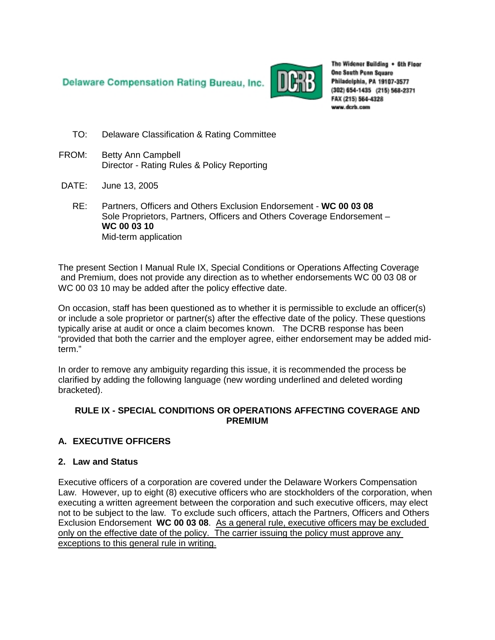Delaware Compensation Rating Bureau, Inc.



The Widener Building . 6th Floor **One South Penn Square** Philadelphia, PA 19107-3577 (302) 654-1435 (215) 568-2371 FAX (215) 564-4328 www.dcrb.com

- TO: Delaware Classification & Rating Committee
- FROM: Betty Ann Campbell Director - Rating Rules & Policy Reporting
- DATE: June 13, 2005
	- RE: Partners, Officers and Others Exclusion Endorsement **WC 00 03 08** Sole Proprietors, Partners, Officers and Others Coverage Endorsement – **WC 00 03 10** Mid-term application

The present Section I Manual Rule IX, Special Conditions or Operations Affecting Coverage and Premium, does not provide any direction as to whether endorsements WC 00 03 08 or WC 00 03 10 may be added after the policy effective date.

On occasion, staff has been questioned as to whether it is permissible to exclude an officer(s) or include a sole proprietor or partner(s) after the effective date of the policy. These questions typically arise at audit or once a claim becomes known. The DCRB response has been "provided that both the carrier and the employer agree, either endorsement may be added midterm."

In order to remove any ambiguity regarding this issue, it is recommended the process be clarified by adding the following language (new wording underlined and deleted wording bracketed).

# **RULE IX - SPECIAL CONDITIONS OR OPERATIONS AFFECTING COVERAGE AND PREMIUM**

# **A. EXECUTIVE OFFICERS**

# **2. Law and Status**

Executive officers of a corporation are covered under the Delaware Workers Compensation Law. However, up to eight (8) executive officers who are stockholders of the corporation, when executing a written agreement between the corporation and such executive officers, may elect not to be subject to the law. To exclude such officers, attach the Partners, Officers and Others Exclusion Endorsement WC 00 03 08. As a general rule, executive officers may be excluded only on the effective date of the policy. The carrier issuing the policy must approve any exceptions to this general rule in writing.